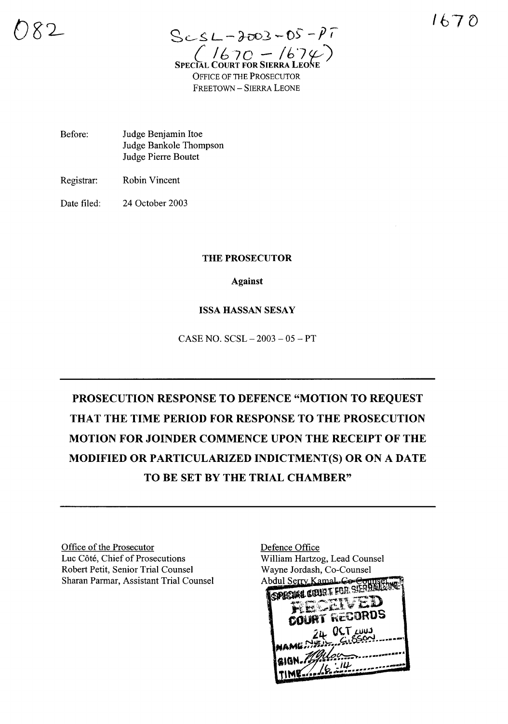1670

 $ScSL - 2003 - 05 - PT$  $(1670 - 167\%)$ SPECIAL **OFFICE OF THE PROSECUTOR** FREETOWN - SIERRA LEONE

Before: Judge Benjamin Itoe Judge Bankole Thompson Judge Pierre Boutet

Registrar: **Robin Vincent** 

Date filed: 24 October 2003

## THE PROSECUTOR

**Against** 

## **ISSA HASSAN SESAY**

CASE NO.  $SCSL - 2003 - 05 - PT$ 

PROSECUTION RESPONSE TO DEFENCE "MOTION TO REQUEST THAT THE TIME PERIOD FOR RESPONSE TO THE PROSECUTION MOTION FOR JOINDER COMMENCE UPON THE RECEIPT OF THE MODIFIED OR PARTICULARIZED INDICTMENT(S) OR ON A DATE TO BE SET BY THE TRIAL CHAMBER"

Office of the Prosecutor Luc Côté, Chief of Prosecutions Robert Petit, Senior Trial Counsel Sharan Parmar, Assistant Trial Counsel

Defence Office William Hartzog, Lead Counsel Wayne Jordash, Co-Counsel Abdul Serry Kamal Co-e SPICIAL COURT FOR SIERE RT RECORDS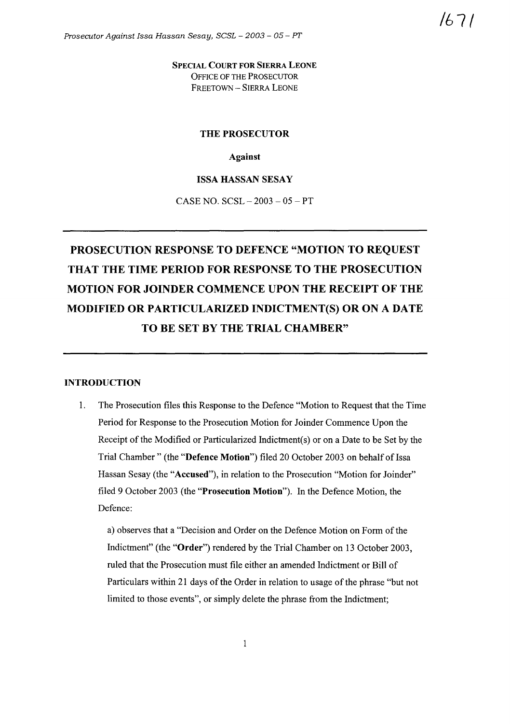SPECIAL COURT FOR SIERRA LEONE OFFICE OF THE PROSECUTOR FREETOWN - SIERRA LEONE

#### THE PROSECUTOR

Against

#### ISSA HASSAN SESAY

CASE NO.  $SCSL - 2003 - 05 - PT$ 

# PROSECUTION RESPONSE TO DEFENCE "MOTION TO REQUEST THAT THE TIME PERIOD FOR RESPONSE TO THE PROSECUTION MOTION FOR JOINDER COMMENCE UPON THE RECEIPT OF THE MODIFIED OR PARTICULARIZED INDICTMENT(S) OR ON A DATE TO BE SET BY THE TRIAL CHAMBER"

#### INTRODUCTION

1. The Prosecution files this Response to the Defence "Motion to Request that the Time Period for Response to the Prosecution Motion for Joinder Commence Upon the Receipt of the Modified or Particularized Indictment(s) or on a Date to be Set by the Trial Chamber" (the "Defence Motion") filed 20 October 2003 on behalf of Issa Hassan Sesay (the "Accused"), in relation to the Prosecution "Motion for Joinder" filed 9 October 2003 (the "Prosecution Motion"). In the Defence Motion, the Defence:

a) observes that a "Decision and Order on the Defence Motion on Form of the Indictment" (the "Order") rendered by the Trial Chamber on 13 October 2003, ruled that the Prosecution must file either an amended Indictment or Bill of Particulars within 21 days of the Order in relation to usage of the phrase "but not limited to those events", or simply delete the phrase from the Indictment;

/671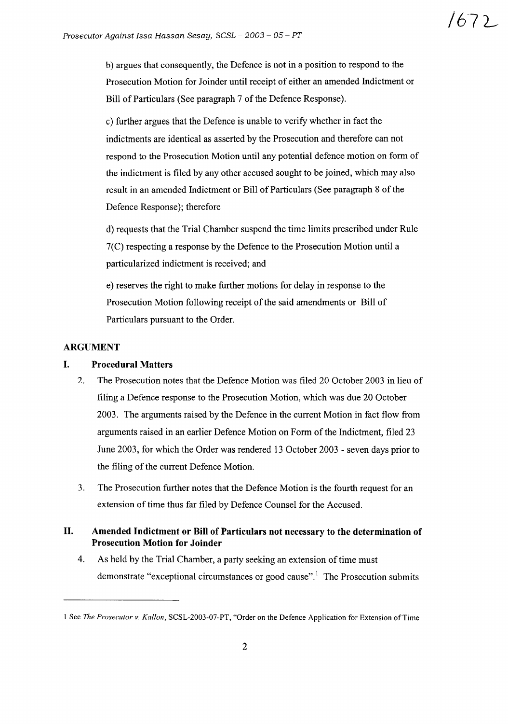b) argues that consequently, the Defence is not in a position to respond to the Prosecution Motion for Joinder until receipt of either an amended Indictment or Bill of Particulars (See paragraph 7 of the Defence Response).

c) further argues that the Defence is unable to verify whether in fact the indictments are identical as asserted by the Prosecution and therefore can not respond to the Prosecution Motion until any potential defence motion on form of the indictment is filed by any other accused sought to be joined, which may also result in an amended Indictment or Bill of Particulars (See paragraph 8 of the Defence Response); therefore

d) requests that the Trial Chamber suspend the time limits prescribed under Rule 7(C) respecting a response by the Defence to the Prosecution Motion until a particularized indictment is received; and

e) reserves the right to make further motions for delay in response to the Prosecution Motion following receipt of the said amendments or Bill of Particulars pursuant to the Order.

## ARGUMENT

## I. Procedural Matters

- 2. The Prosecution notes that the Defence Motion was filed 20 October 2003 in lieu of filing a Defence response to the Prosecution Motion, which was due 20 October 2003. The arguments raised by the Defence in the current Motion in fact flow from arguments raised in an earlier Defence Motion on Form of the Indictment, filed 23 June 2003, for which the Order was rendered 13 October 2003 - seven days prior to the filing of the current Defence Motion.
- 3. The Prosecution further notes that the Defence Motion is the fourth request for an extension of time thus far filed by Defence Counsel for the Accused.

## II. Amended Indictment or **Bill** of Particulars not necessary to the determination of Prosecution Motion for Joinder

4. As held by the Trial Chamber, a party seeking an extension of time must demonstrate "exceptional circumstances or good cause".<sup>1</sup> The Prosecution submits

I See *The Prosecutor v. Kallon,* SCSL-2003-07-PT, "Order on the Defence Application for Extension ofTime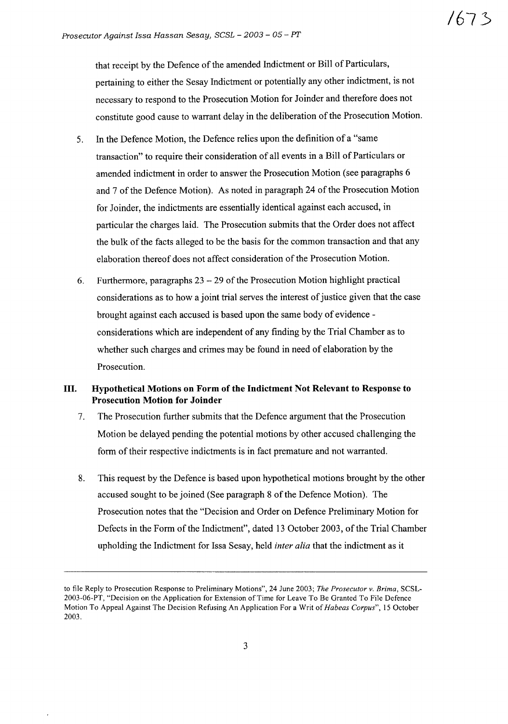**/67,};;**

that receipt by the Defence of the amended Indictment or Bill of Particulars, pertaining to either the Sesay Indictment or potentially any other indictment, is not necessary to respond to the Prosecution Motion for Joinder and therefore does not constitute good cause to warrant delay in the deliberation of the Prosecution Motion.

- 5. In the Defence Motion, the Defence relies upon the definition of a "same transaction" to require their consideration of all events in a Bill of Particulars or amended indictment in order to answer the Prosecution Motion (see paragraphs 6 and 7 ofthe Defence Motion). As noted in paragraph 24 ofthe Prosecution Motion for Joinder, the indictments are essentially identical against each accused, in particular the charges laid. The Prosecution submits that the Order does not affect the bulk of the facts alleged to be the basis for the common transaction and that any elaboration thereof does not affect consideration of the Prosecution Motion.
- 6. Furthermore, paragraphs  $23 29$  of the Prosecution Motion highlight practical considerations as to how a joint trial serves the interest of justice given that the case brought against each accused is based upon the same body of evidence considerations which are independent of any finding by the Trial Chamber as to whether such charges and crimes may be found in need of elaboration by the Prosecution.

## **III. Hypothetical Motions on Form of the Indictment Not Relevant to Response to Prosecution Motion for Joinder**

- 7. The Prosecution further submits that the Defence argument that the Prosecution Motion be delayed pending the potential motions by other accused challenging the form of their respective indictments is in fact premature and not warranted.
- 8. This request by the Defence is based upon hypothetical motions brought by the other accused sought to be joined (See paragraph 8 of the Defence Motion). The Prosecution notes that the "Decision and Order on Defence Preliminary Motion for Defects in the Form of the Indictment", dated 13 October 2003, of the Trial Chamber upholding the Indictment for Issa Sesay, held *inter alia* that the indictment as it

to file Reply to Prosecution Response to Preliminary Motions", 24 June 2003; *The Prosecutor v. Brima,* SCSL-2003-06-PT, "Decision on the Application for Extension ofTime for Leave To Be Granted To File Defence Motion To Appeal Against The Decision Refusing An Application For a Writ of*Habeas Corpus",* 15 October 2003.